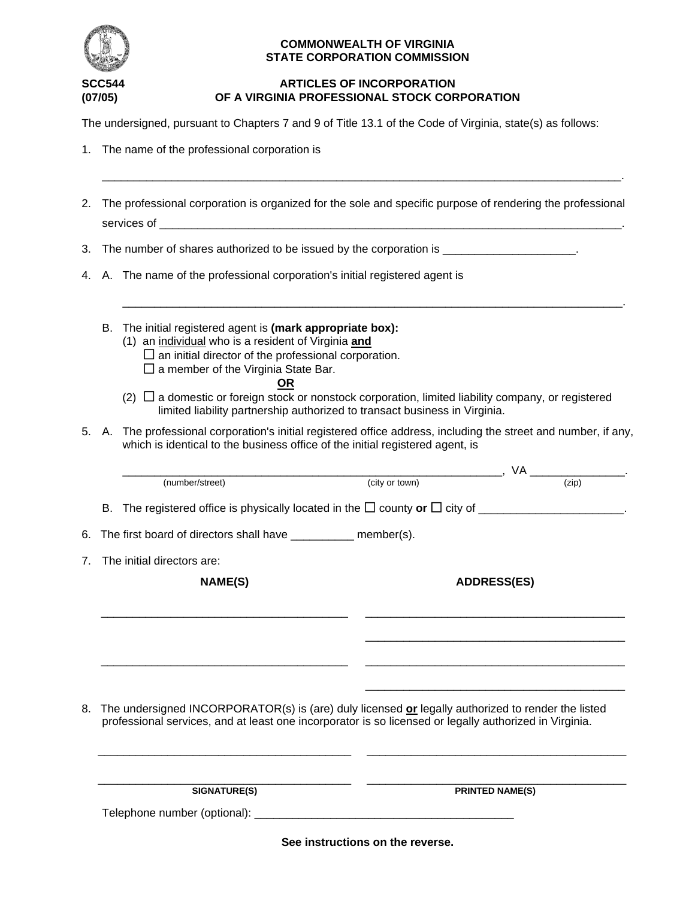

#### **COMMONWEALTH OF VIRGINIA STATE CORPORATION COMMISSION**

# **ARTICLES OF INCORPORATION (07/05) OF A VIRGINIA PROFESSIONAL STOCK CORPORATION**

\_\_\_\_\_\_\_\_\_\_\_\_\_\_\_\_\_\_\_\_\_\_\_\_\_\_\_\_\_\_\_\_\_\_\_\_\_\_\_\_\_\_\_\_\_\_\_\_\_\_\_\_\_\_\_\_\_\_\_\_\_\_\_\_\_\_\_\_\_\_\_\_\_\_\_\_\_\_\_\_\_\_.

The undersigned, pursuant to Chapters 7 and 9 of Title 13.1 of the Code of Virginia, state(s) as follows:

|  |  | 1. The name of the professional corporation is |  |
|--|--|------------------------------------------------|--|
|  |  |                                                |  |

2. The professional corporation is organized for the sole and specific purpose of rendering the professional services of 3. The number of shares authorized to be issued by the corporation is \_\_\_\_\_\_\_\_\_\_\_\_\_\_\_\_\_\_\_\_\_. 4. A. The name of the professional corporation's initial registered agent is \_\_\_\_\_\_\_\_\_\_\_\_\_\_\_\_\_\_\_\_\_\_\_\_\_\_\_\_\_\_\_\_\_\_\_\_\_\_\_\_\_\_\_\_\_\_\_\_\_\_\_\_\_\_\_\_\_\_\_\_\_\_\_\_\_\_\_\_\_\_\_\_\_\_\_\_\_\_\_. B. The initial registered agent is **(mark appropriate box):** (1) an individual who is a resident of Virginia **and**  $\square$  an initial director of the professional corporation.  $\square$  a member of the Virginia State Bar. **OR**  $(2)$   $\Box$  a domestic or foreign stock or nonstock corporation, limited liability company, or registered limited liability partnership authorized to transact business in Virginia. 5. A. The professional corporation's initial registered office address, including the street and number, if any, which is identical to the business office of the initial registered agent, is  $\begin{array}{c}\n\text{(city or town)}\n\end{array}$  (zip) (number/street) B. The registered office is physically located in the  $\Box$  county or  $\Box$  city of  $\Box$ 6. The first board of directors shall have \_\_\_\_\_\_\_\_\_\_\_ member(s). 7. The initial directors are: NAME(S) ADDRESS(ES) \_\_\_\_\_\_\_\_\_\_\_\_\_\_\_\_\_\_\_\_\_\_\_\_\_\_\_\_\_\_\_\_\_\_\_\_\_\_\_ \_\_\_\_\_\_\_\_\_\_\_\_\_\_\_\_\_\_\_\_\_\_\_\_\_\_\_\_\_\_\_\_\_\_\_\_\_\_\_\_\_ \_\_\_\_\_\_\_\_\_\_\_\_\_\_\_\_\_\_\_\_\_\_\_\_\_\_\_\_\_\_\_\_\_\_\_\_\_\_\_\_\_ \_\_\_\_\_\_\_\_\_\_\_\_\_\_\_\_\_\_\_\_\_\_\_\_\_\_\_\_\_\_\_\_\_\_\_\_\_\_\_ \_\_\_\_\_\_\_\_\_\_\_\_\_\_\_\_\_\_\_\_\_\_\_\_\_\_\_\_\_\_\_\_\_\_\_\_\_\_\_\_\_ \_\_\_\_\_\_\_\_\_\_\_\_\_\_\_\_\_\_\_\_\_\_\_\_\_\_\_\_\_\_\_\_\_\_\_\_\_\_\_\_\_ 8. The undersigned INCORPORATOR(s) is (are) duly licensed **or** legally authorized to render the listed professional services, and at least one incorporator is so licensed or legally authorized in Virginia. \_\_\_\_\_\_\_\_\_\_\_\_\_\_\_\_\_\_\_\_\_\_\_\_\_\_\_\_\_\_\_\_\_\_\_\_\_\_\_\_ \_\_\_\_\_\_\_\_\_\_\_\_\_\_\_\_\_\_\_\_\_\_\_\_\_\_\_\_\_\_\_\_\_\_\_\_\_\_\_\_\_

\_\_\_\_\_\_\_\_\_\_\_\_\_\_\_\_\_\_\_\_\_\_\_\_\_\_\_\_\_\_\_\_\_\_\_\_\_\_\_\_ \_\_\_\_\_\_\_\_\_\_\_\_\_\_\_\_\_\_\_\_\_\_\_\_\_\_\_\_\_\_\_\_\_\_\_\_\_\_\_\_\_ **SIGNATURE(S)** PRINTED NAME(S)

Telephone number (optional): \_\_\_\_\_\_\_\_\_\_\_\_\_\_\_\_\_\_\_\_\_\_\_\_\_\_\_\_\_\_\_\_\_\_\_\_\_\_\_\_\_

**See instructions on the reverse.**